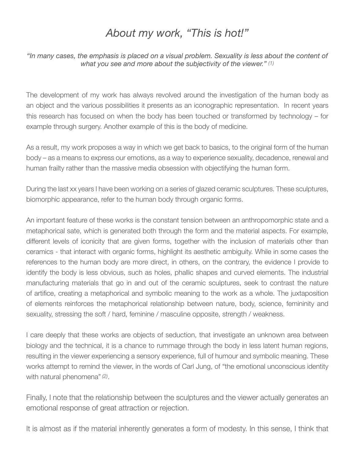## *About my work, "This is hot!"*

*"In many cases, the emphasis is placed on a visual problem. Sexuality is less about the content of what you see and more about the subjectivity of the viewer." (1)*

The development of my work has always revolved around the investigation of the human body as an object and the various possibilities it presents as an iconographic representation. In recent years this research has focused on when the body has been touched or transformed by technology – for example through surgery. Another example of this is the body of medicine.

As a result, my work proposes a way in which we get back to basics, to the original form of the human body – as a means to express our emotions, as a way to experience sexuality, decadence, renewal and human frailty rather than the massive media obsession with objectifying the human form.

During the last xx years I have been working on a series of glazed ceramic sculptures. These sculptures, biomorphic appearance, refer to the human body through organic forms.

An important feature of these works is the constant tension between an anthropomorphic state and a metaphorical sate, which is generated both through the form and the material aspects. For example, different levels of iconicity that are given forms, together with the inclusion of materials other than ceramics - that interact with organic forms, highlight its aesthetic ambiguity. While in some cases the references to the human body are more direct, in others, on the contrary, the evidence I provide to identify the body is less obvious, such as holes, phallic shapes and curved elements. The industrial manufacturing materials that go in and out of the ceramic sculptures, seek to contrast the nature of artifice, creating a metaphorical and symbolic meaning to the work as a whole. The juxtaposition of elements reinforces the metaphorical relationship between nature, body, science, femininity and sexuality, stressing the soft / hard, feminine / masculine opposite, strength / weakness.

I care deeply that these works are objects of seduction, that investigate an unknown area between biology and the technical, it is a chance to rummage through the body in less latent human regions, resulting in the viewer experiencing a sensory experience, full of humour and symbolic meaning. These works attempt to remind the viewer, in the words of Carl Jung, of "the emotional unconscious identity with natural phenomena"*(2)*.

Finally, I note that the relationship between the sculptures and the viewer actually generates an emotional response of great attraction or rejection.

It is almost as if the material inherently generates a form of modesty. In this sense, I think that